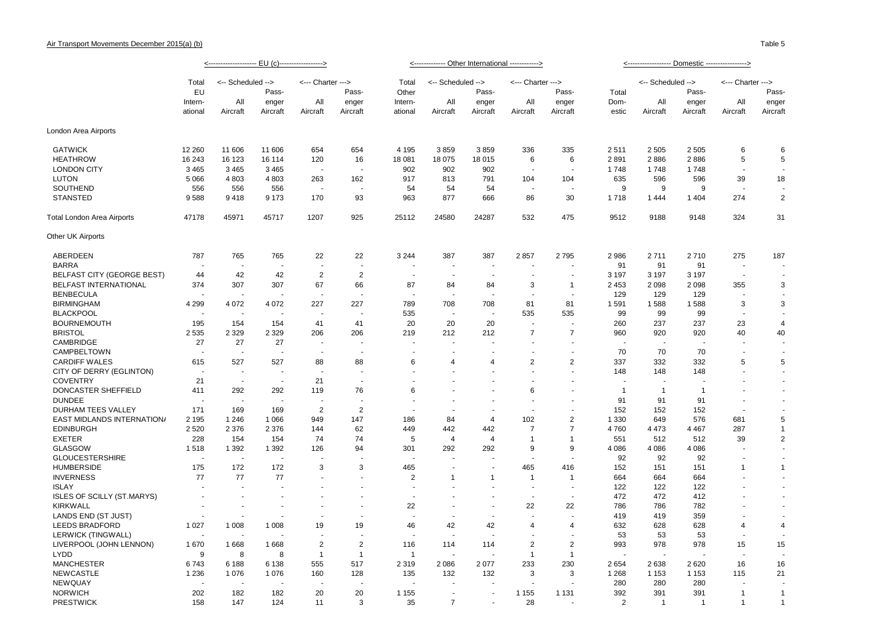Table 5

|                                   | Total   | <-- Scheduled -->        |          | <--- Charter --->        |                | Total          | <-- Scheduled --> |                          | <--- Charter --->        |                          |                       | <-- Scheduled --> |           | <--- Charter --->        |                |          |
|-----------------------------------|---------|--------------------------|----------|--------------------------|----------------|----------------|-------------------|--------------------------|--------------------------|--------------------------|-----------------------|-------------------|-----------|--------------------------|----------------|----------|
|                                   | EU      |                          | Pass-    |                          | Pass-          | Other          |                   | Pass-                    |                          | Pass-                    | Total                 |                   | Pass-     |                          | Pass-          |          |
|                                   | Intern- | All                      | enger    | All                      | enger          | Intern-        | All               | enger                    | All                      | enger                    | Dom-                  | All               | enger     | All                      | enger          |          |
|                                   | ational |                          | Aircraft | Aircraft                 | Aircraft       | Aircraft       | ational           | Aircraft                 | Aircraft                 | Aircraft                 | Aircraft              | estic             | Aircraft  | Aircraft                 | Aircraft       | Aircraft |
| London Area Airports              |         |                          |          |                          |                |                |                   |                          |                          |                          |                       |                   |           |                          |                |          |
|                                   |         |                          |          |                          |                |                |                   |                          |                          |                          |                       |                   |           |                          |                |          |
| <b>GATWICK</b>                    | 12 260  | 11 606                   | 11 606   | 654                      | 654            | 4 1 9 5        | 3859              | 3859                     | 336                      | 335                      | 2511                  | 2 5 0 5           | 2 5 0 5   | 6                        | 6              |          |
| <b>HEATHROW</b>                   | 16 243  | 16 123                   | 16 114   | 120                      | 16             | 18 081         | 18 075            | 18 015                   | 6                        | 6                        | 2891                  | 2886              | 2886      | 5                        | 5              |          |
| <b>LONDON CITY</b>                | 3 4 6 5 | 3 4 6 5                  | 3 4 6 5  |                          |                | 902            | 902               | 902                      | $\overline{\phantom{a}}$ | $\overline{\phantom{a}}$ | 1748                  | 1748              | 1748      | $\blacksquare$           | $\sim$         |          |
| <b>LUTON</b>                      | 5 0 6 6 | 4 8 0 3                  | 4 8 0 3  | 263                      | 162            | 917            | 813               | 791                      | 104                      | 104                      | 635                   | 596               | 596       | 39                       | 18             |          |
| SOUTHEND                          | 556     | 556                      | 556      |                          |                | 54             | 54                | 54                       |                          | $\overline{\phantom{a}}$ | 9                     | 9                 | 9         |                          |                |          |
| <b>STANSTED</b>                   | 9588    | 9418                     | 9 1 7 3  | 170                      | 93             | 963            | 877               | 666                      | 86                       | 30                       | 1718                  | 1 4 4 4           | 1 4 0 4   | 274                      | $\overline{2}$ |          |
| <b>Total London Area Airports</b> | 47178   | 45971                    | 45717    | 1207                     | 925            | 25112          | 24580             | 24287                    | 532                      | 475                      | 9512                  | 9188              | 9148      | 324                      | 31             |          |
| Other UK Airports                 |         |                          |          |                          |                |                |                   |                          |                          |                          |                       |                   |           |                          |                |          |
| ABERDEEN                          | 787     | 765                      | 765      | 22                       | 22             | 3 2 4 4        | 387               | 387                      | 2857                     | 2795                     | 2 9 8 6               | 2711              | 2710      | 275                      | 187            |          |
| <b>BARRA</b>                      |         |                          |          | $\overline{\phantom{a}}$ | $\sim$         |                |                   |                          |                          |                          | 91                    | 91                | 91        | ÷.                       |                |          |
| <b>BELFAST CITY (GEORGE BEST)</b> | 44      | 42                       | 42       | $\overline{2}$           | $\overline{2}$ |                |                   |                          |                          |                          | 3 1 9 7               | 3 1 9 7           | 3 1 9 7   | $\overline{\phantom{a}}$ | $\blacksquare$ |          |
| BELFAST INTERNATIONAL             | 374     | 307                      | 307      | 67                       | 66             | 87             | 84                | 84                       | 3                        | $\overline{1}$           | 2 4 5 3               | 2 0 9 8           | 2098      | 355                      | 3              |          |
| <b>BENBECULA</b>                  |         |                          |          |                          |                |                |                   |                          |                          |                          | 129                   | 129               | 129       |                          | $\sim$         |          |
| <b>BIRMINGHAM</b>                 | 4 2 9 9 | 4 0 7 2                  | 4 0 7 2  | 227                      | 227            | 789            | 708               | 708                      | 81                       | 81                       | 1 5 9 1               | 1588              | 1588      | 3                        | 3              |          |
| <b>BLACKPOOL</b>                  |         | $\overline{\phantom{a}}$ |          |                          |                | 535            | $\sim$            | $\overline{\phantom{a}}$ | 535                      | 535                      | 99                    | 99                | 99        | $\overline{\phantom{a}}$ | $\sim$         |          |
| <b>BOURNEMOUTH</b>                | 195     | 154                      | 154      | 41                       | 41             | 20             | 20                | 20                       |                          |                          | 260                   | 237               | 237       | 23                       |                |          |
|                                   |         |                          |          | 206                      | 206            | 219            |                   | 212                      | $\overline{7}$           | $\overline{7}$           | 960                   | 920               | 920       | 40                       | 4              |          |
| <b>BRISTOL</b>                    | 2 5 3 5 | 2 3 2 9                  | 2 3 2 9  |                          |                |                | 212               |                          |                          |                          |                       |                   |           |                          | 40             |          |
| CAMBRIDGE                         | 27      | 27                       | 27       |                          |                |                |                   |                          |                          |                          |                       |                   |           |                          |                |          |
| <b>CAMPBELTOWN</b>                |         |                          |          |                          |                |                |                   |                          |                          |                          | 70                    | 70                | 70        | ÷.                       | $\sim$         |          |
| <b>CARDIFF WALES</b>              | 615     | 527                      | 527      | 88                       | 88             | 6              | $\overline{4}$    | $\overline{4}$           | $\overline{2}$           | $\overline{2}$           | 337                   | 332               | 332       | 5                        | 5              |          |
| CITY OF DERRY (EGLINTON)          |         | $\overline{\phantom{a}}$ |          | $\overline{\phantom{a}}$ |                |                |                   |                          |                          |                          | 148                   | 148               | 148       |                          | $\sim$         |          |
| <b>COVENTRY</b>                   | 21      | $\overline{\phantom{a}}$ | $\sim$   | 21                       | $\sim$         |                |                   |                          |                          |                          |                       | ÷.                |           |                          | $\sim$         |          |
| DONCASTER SHEFFIELD               | 411     | 292                      | 292      | 119                      | 76             | 6              |                   |                          | 6                        |                          | $\overline{1}$        | -1                | -1        |                          |                |          |
| <b>DUNDEE</b>                     |         |                          |          |                          |                |                |                   |                          |                          |                          | 91                    | 91                | 91        |                          |                |          |
| DURHAM TEES VALLEY                | 171     | 169                      | 169      | $\overline{2}$           | $\overline{2}$ |                |                   |                          |                          |                          | 152                   | 152               | 152       |                          |                |          |
| <b>EAST MIDLANDS INTERNATION/</b> | 2 1 9 5 | 1 2 4 6                  | 1 0 6 6  | 949                      | 147            | 186            | 84                | $\overline{4}$           | 102                      | $\sqrt{2}$               | 1 3 3 0               | 649               | 576       | 681                      | 5              |          |
| <b>EDINBURGH</b>                  | 2 5 2 0 | 2 3 7 6                  | 2 3 7 6  | 144                      | 62             | 449            | 442               | 442                      | 7                        | $\overline{7}$           | 4760                  | 4 4 7 3           | 4 4 6 7   | 287                      | $\mathbf{1}$   |          |
| <b>EXETER</b>                     | 228     | 154                      | 154      | 74                       | 74             | 5              | 4                 | $\overline{4}$           | $\overline{1}$           | $\overline{1}$           | 551                   | 512               | 512       | 39                       | $\overline{2}$ |          |
| <b>GLASGOW</b>                    | 1518    | 1 3 9 2                  | 1 3 9 2  | 126                      | 94             | 301            | 292               | 292                      | 9                        | 9                        | 4 0 8 6               | 4 0 8 6           | 4 0 8 6   |                          | $\sim$         |          |
| <b>GLOUCESTERSHIRE</b>            |         | $\sim$                   |          |                          |                |                |                   |                          |                          | $\overline{a}$           | 92                    | 92                | 92        | $\overline{\phantom{a}}$ | $\sim$         |          |
| <b>HUMBERSIDE</b>                 | 175     | 172                      | 172      | 3                        | 3              | 465            |                   |                          | 465                      | 416                      | 152                   | 151               | 151       | $\mathbf{1}$             | $\mathbf{1}$   |          |
| <b>INVERNESS</b>                  | 77      | 77                       | 77       |                          |                | 2              | $\overline{1}$    | $\overline{1}$           | -1                       | -1                       | 664                   | 664               | 664       |                          | $\blacksquare$ |          |
| <b>ISLAY</b>                      |         |                          |          |                          |                |                |                   |                          |                          | $\overline{a}$           | 122                   | 122               | 122       |                          | $\sim$         |          |
| <b>ISLES OF SCILLY (ST.MARYS)</b> |         |                          |          |                          |                |                |                   |                          |                          | $\overline{\phantom{a}}$ | 472                   | 472               | 412       |                          | ÷.             |          |
| <b>KIRKWALL</b>                   |         |                          |          |                          |                | 22             |                   |                          | 22                       | 22                       | 786                   | 786               | 782       |                          |                |          |
| LANDS END (ST JUST)               |         |                          |          |                          |                |                |                   |                          |                          |                          | 419                   | 419               | 359       |                          | ÷.             |          |
| <b>LEEDS BRADFORD</b>             | 1 0 2 7 | 1 0 0 8                  | 1 0 0 8  | 19                       | 19             | 46             | 42                | 42                       | $\overline{4}$           | $\overline{4}$           | 632                   | 628               | 628       | $\overline{4}$           | $\overline{a}$ |          |
| LERWICK (TINGWALL)                |         |                          |          |                          |                |                |                   |                          |                          | $\overline{\phantom{a}}$ | 53                    | 53                | 53        |                          |                |          |
| LIVERPOOL (JOHN LENNON)           | 1670    | 1668                     | 1668     | $\overline{2}$           | $\overline{2}$ | 116            | 114               | 114                      | $\overline{2}$           | $\overline{2}$           | 993                   | 978               | 978       | 15                       | 15             |          |
| <b>LYDD</b>                       | 9       | 8                        | 8        | $\mathbf{1}$             | $\mathbf{1}$   | $\overline{1}$ |                   |                          | $\overline{1}$           | $\overline{1}$           |                       |                   |           |                          |                |          |
| <b>MANCHESTER</b>                 | 6743    | 6 1 8 8                  | 6 1 3 8  | 555                      | 517            | 2 3 1 9        | 2086              | 2 0 7 7                  | 233                      | 230                      | 2654                  | 2638              | 2620      | 16                       | 16             |          |
| <b>NEWCASTLE</b>                  | 1 2 3 6 | 1 0 7 6                  | 1076     | 160                      | 128            | 135            | 132               | 132                      | 3                        | 3                        | 1 2 6 8               | 1 1 5 3           | 1 1 5 3   | 115                      | 21             |          |
|                                   |         |                          |          |                          |                |                |                   |                          |                          |                          |                       |                   | 280       |                          |                |          |
| <b>NEWQUAY</b>                    |         |                          |          |                          |                |                |                   |                          |                          |                          | 280                   | 280               |           |                          |                |          |
| <b>NORWICH</b>                    | 202     | 182                      | 182      | 20                       | 20             | 1 1 5 5        |                   |                          | 1 1 5 5                  | 1 1 3 1                  | 392<br>$\mathfrak{p}$ | 391               | 391<br>-1 | $\overline{1}$           | $\mathbf{1}$   |          |
| <b>PRESTWICK</b>                  | 158     | 147                      | 124      | 11                       | 3              | 35             | $\overline{7}$    |                          | 28                       |                          |                       | -1                |           | $\mathbf{1}$             | $\mathbf{1}$   |          |